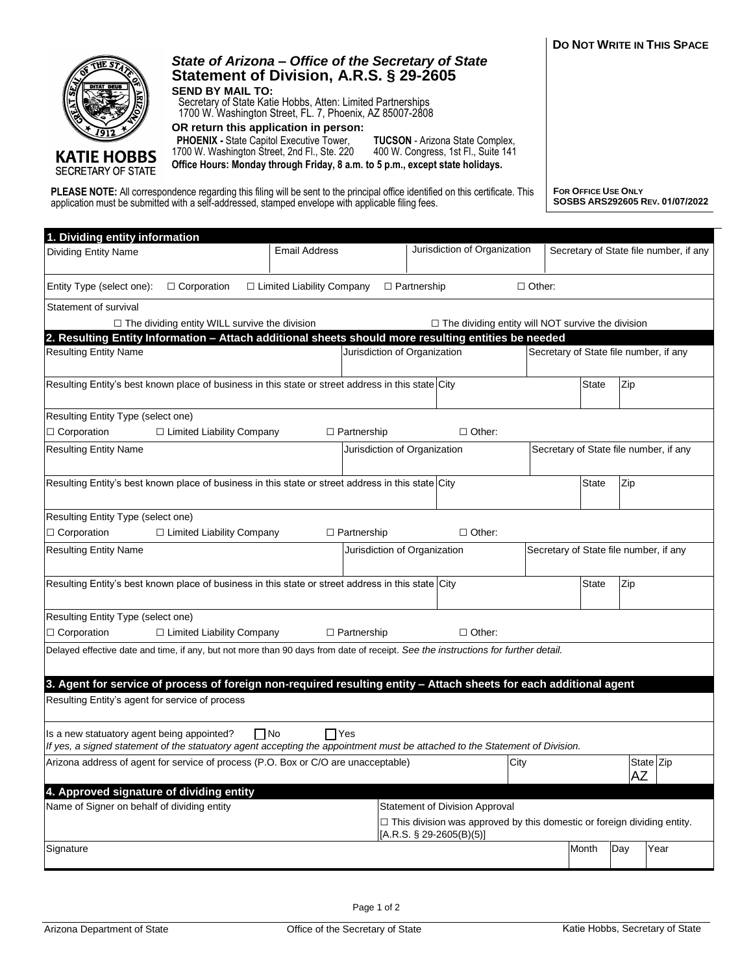| ø<br>Ø<br><b>DITAT DEU:</b><br><b>KATIE HOBBS</b><br><b>SECRETARY OF STATE</b>                                                                                                                                                        | Statement of Division, A.R.S. § 29-2605<br><b>SEND BY MAIL TO:</b><br>Secretary of State Katie Hobbs, Atten: Limited Partnerships<br>1700 W. Washington Street, FL. 7, Phoenix, AZ 85007-2808<br>OR return this application in person:<br>PHOENIX - State Capitol Executive Tower,<br>1700 W. Washington Street, 2nd Fl., Ste. 220<br>Office Hours: Monday through Friday, 8 a.m. to 5 p.m., except state holidays. |                                |                                                                                                                                     | <b>TUCSON</b> - Arizona State Complex.<br>400 W. Congress, 1st Fl., Suite 141 |                                                                                |                                        |                                                        |                                        |  |
|---------------------------------------------------------------------------------------------------------------------------------------------------------------------------------------------------------------------------------------|---------------------------------------------------------------------------------------------------------------------------------------------------------------------------------------------------------------------------------------------------------------------------------------------------------------------------------------------------------------------------------------------------------------------|--------------------------------|-------------------------------------------------------------------------------------------------------------------------------------|-------------------------------------------------------------------------------|--------------------------------------------------------------------------------|----------------------------------------|--------------------------------------------------------|----------------------------------------|--|
| PLEASE NOTE: All correspondence regarding this filing will be sent to the principal office identified on this certificate. This<br>application must be submitted with a self-addressed, stamped envelope with applicable filing fees. |                                                                                                                                                                                                                                                                                                                                                                                                                     |                                |                                                                                                                                     |                                                                               |                                                                                |                                        | FOR OFFICE USE ONLY<br>SOSBS ARS292605 REV. 01/07/2022 |                                        |  |
| 1. Dividing entity information                                                                                                                                                                                                        |                                                                                                                                                                                                                                                                                                                                                                                                                     |                                |                                                                                                                                     |                                                                               |                                                                                |                                        |                                                        |                                        |  |
| <b>Dividing Entity Name</b>                                                                                                                                                                                                           |                                                                                                                                                                                                                                                                                                                                                                                                                     | <b>Email Address</b>           |                                                                                                                                     |                                                                               | Jurisdiction of Organization                                                   |                                        |                                                        | Secretary of State file number, if any |  |
| Entity Type (select one):                                                                                                                                                                                                             | □ Corporation                                                                                                                                                                                                                                                                                                                                                                                                       | □ Limited Liability Company    |                                                                                                                                     | $\Box$ Partnership                                                            | $\Box$ Other:                                                                  |                                        |                                                        |                                        |  |
| Statement of survival                                                                                                                                                                                                                 |                                                                                                                                                                                                                                                                                                                                                                                                                     |                                |                                                                                                                                     |                                                                               |                                                                                |                                        |                                                        |                                        |  |
| $\Box$ The dividing entity WILL survive the division<br>$\Box$ The dividing entity will NOT survive the division                                                                                                                      |                                                                                                                                                                                                                                                                                                                                                                                                                     |                                |                                                                                                                                     |                                                                               |                                                                                |                                        |                                                        |                                        |  |
| <b>Resulting Entity Name</b>                                                                                                                                                                                                          |                                                                                                                                                                                                                                                                                                                                                                                                                     |                                | 2. Resulting Entity Information - Attach additional sheets should more resulting entities be needed<br>Jurisdiction of Organization |                                                                               |                                                                                |                                        | Secretary of State file number, if any                 |                                        |  |
|                                                                                                                                                                                                                                       |                                                                                                                                                                                                                                                                                                                                                                                                                     |                                |                                                                                                                                     |                                                                               |                                                                                |                                        |                                                        |                                        |  |
| Resulting Entity's best known place of business in this state or street address in this state City                                                                                                                                    |                                                                                                                                                                                                                                                                                                                                                                                                                     |                                |                                                                                                                                     |                                                                               |                                                                                | <b>State</b>                           | Zip                                                    |                                        |  |
| Resulting Entity Type (select one)                                                                                                                                                                                                    |                                                                                                                                                                                                                                                                                                                                                                                                                     |                                |                                                                                                                                     |                                                                               |                                                                                |                                        |                                                        |                                        |  |
| □ Corporation                                                                                                                                                                                                                         | $\Box$ Limited Liability Company                                                                                                                                                                                                                                                                                                                                                                                    |                                | $\Box$ Partnership                                                                                                                  |                                                                               | $\Box$ Other:                                                                  |                                        |                                                        |                                        |  |
| <b>Resulting Entity Name</b>                                                                                                                                                                                                          |                                                                                                                                                                                                                                                                                                                                                                                                                     |                                | Jurisdiction of Organization                                                                                                        |                                                                               |                                                                                | Secretary of State file number, if any |                                                        |                                        |  |
| Resulting Entity's best known place of business in this state or street address in this state City                                                                                                                                    |                                                                                                                                                                                                                                                                                                                                                                                                                     |                                |                                                                                                                                     |                                                                               |                                                                                | <b>State</b>                           | Zip                                                    |                                        |  |
| Resulting Entity Type (select one)                                                                                                                                                                                                    |                                                                                                                                                                                                                                                                                                                                                                                                                     |                                |                                                                                                                                     |                                                                               |                                                                                |                                        |                                                        |                                        |  |
| $\Box$ Corporation                                                                                                                                                                                                                    | □ Limited Liability Company                                                                                                                                                                                                                                                                                                                                                                                         |                                | $\Box$ Partnership                                                                                                                  |                                                                               | $\Box$ Other:                                                                  |                                        |                                                        |                                        |  |
| <b>Resulting Entity Name</b>                                                                                                                                                                                                          |                                                                                                                                                                                                                                                                                                                                                                                                                     |                                |                                                                                                                                     | Jurisdiction of Organization                                                  |                                                                                |                                        | Secretary of State file number, if any                 |                                        |  |
| Resulting Entity's best known place of business in this state or street address in this state City                                                                                                                                    |                                                                                                                                                                                                                                                                                                                                                                                                                     |                                |                                                                                                                                     |                                                                               |                                                                                | <b>State</b>                           | Zip                                                    |                                        |  |
| Resulting Entity Type (select one)                                                                                                                                                                                                    |                                                                                                                                                                                                                                                                                                                                                                                                                     |                                |                                                                                                                                     |                                                                               |                                                                                |                                        |                                                        |                                        |  |
| $\Box$ Corporation                                                                                                                                                                                                                    | □ Limited Liability Company                                                                                                                                                                                                                                                                                                                                                                                         |                                | $\Box$ Partnership                                                                                                                  |                                                                               | $\Box$ Other:                                                                  |                                        |                                                        |                                        |  |
| Delayed effective date and time, if any, but not more than 90 days from date of receipt. See the instructions for further detail.                                                                                                     |                                                                                                                                                                                                                                                                                                                                                                                                                     |                                |                                                                                                                                     |                                                                               |                                                                                |                                        |                                                        |                                        |  |
| 3. Agent for service of process of foreign non-required resulting entity - Attach sheets for each additional agent                                                                                                                    |                                                                                                                                                                                                                                                                                                                                                                                                                     |                                |                                                                                                                                     |                                                                               |                                                                                |                                        |                                                        |                                        |  |
| Resulting Entity's agent for service of process                                                                                                                                                                                       |                                                                                                                                                                                                                                                                                                                                                                                                                     |                                |                                                                                                                                     |                                                                               |                                                                                |                                        |                                                        |                                        |  |
| Is a new statuatory agent being appointed?<br>If yes, a signed statement of the statuatory agent accepting the appointment must be attached to the Statement of Division.                                                             |                                                                                                                                                                                                                                                                                                                                                                                                                     | $\Box$ No<br>$\Box$ Yes        |                                                                                                                                     |                                                                               |                                                                                |                                        |                                                        |                                        |  |
| Arizona address of agent for service of process (P.O. Box or C/O are unacceptable)                                                                                                                                                    |                                                                                                                                                                                                                                                                                                                                                                                                                     |                                |                                                                                                                                     |                                                                               | City                                                                           |                                        | AΖ                                                     | State Zip                              |  |
| 4. Approved signature of dividing entity                                                                                                                                                                                              |                                                                                                                                                                                                                                                                                                                                                                                                                     |                                |                                                                                                                                     |                                                                               |                                                                                |                                        |                                                        |                                        |  |
| Name of Signer on behalf of dividing entity                                                                                                                                                                                           |                                                                                                                                                                                                                                                                                                                                                                                                                     | Statement of Division Approval |                                                                                                                                     |                                                                               |                                                                                |                                        |                                                        |                                        |  |
|                                                                                                                                                                                                                                       |                                                                                                                                                                                                                                                                                                                                                                                                                     |                                |                                                                                                                                     | [A.R.S. $\S$ 29-2605(B)(5)]                                                   | $\Box$ This division was approved by this domestic or foreign dividing entity. |                                        |                                                        |                                        |  |
| Signature                                                                                                                                                                                                                             |                                                                                                                                                                                                                                                                                                                                                                                                                     |                                |                                                                                                                                     |                                                                               |                                                                                | Month                                  | Day                                                    | Year                                   |  |

*State of Arizona – Office of the Secretary of State*

**SETHE STAT** 

**DO NOT WRITE IN THIS SPACE**